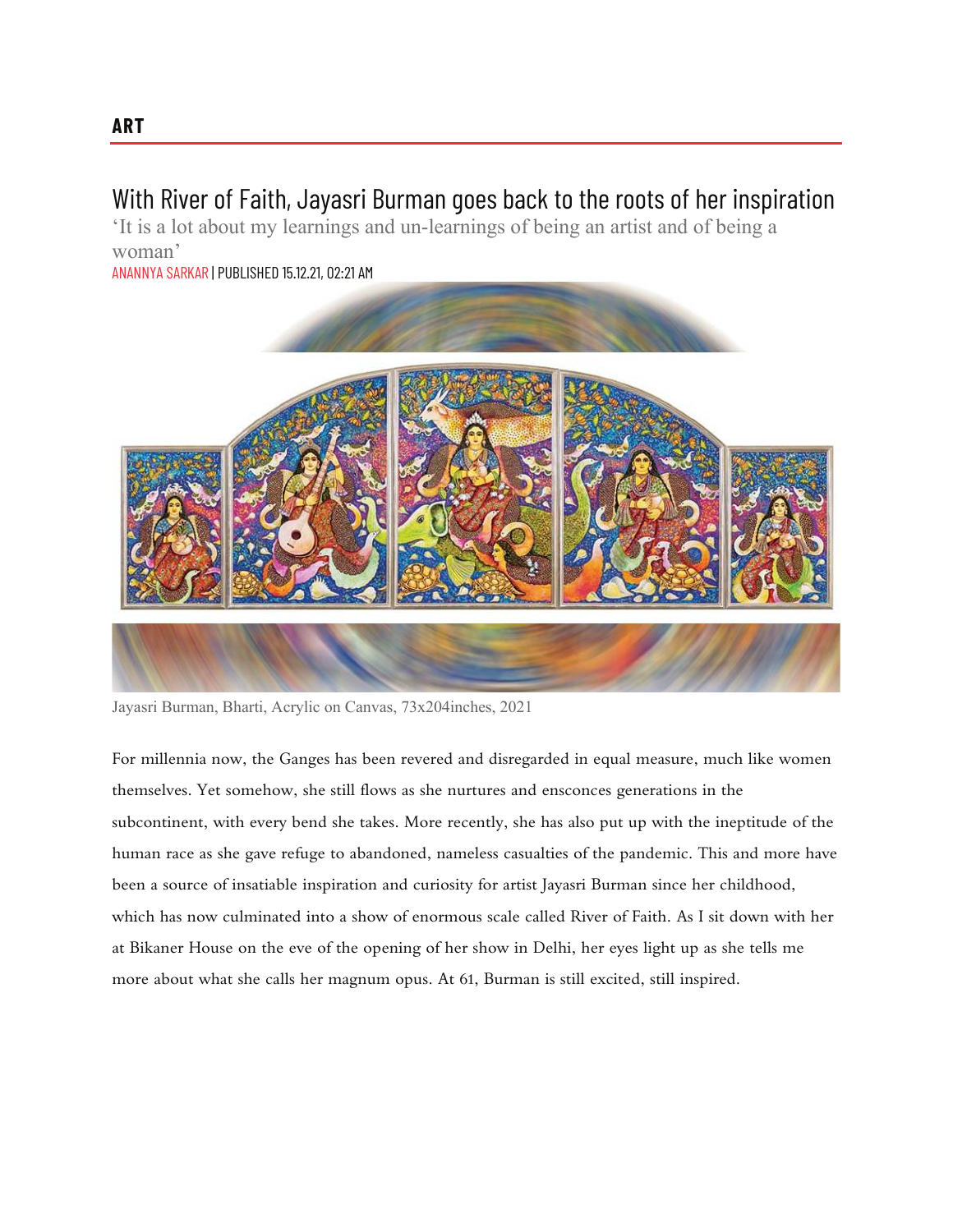## With River of Faith, Jayasri Burman goes back to the roots of her inspiration

'It is a lot about my learnings and un-learnings of being an artist and of being a woman'

ANANNYA SARKAR | PUBLISHED 15.12.21, 02:21 AM



Jayasri Burman, Bharti, Acrylic on Canvas, 73x204inches, 2021

For millennia now, the Ganges has been revered and disregarded in equal measure, much like women themselves. Yet somehow, she still flows as she nurtures and ensconces generations in the subcontinent, with every bend she takes. More recently, she has also put up with the ineptitude of the human race as she gave refuge to abandoned, nameless casualties of the pandemic. This and more have been a source of insatiable inspiration and curiosity for artist Jayasri Burman since her childhood, which has now culminated into a show of enormous scale called River of Faith. As I sit down with her at Bikaner House on the eve of the opening of her show in Delhi, her eyes light up as she tells me more about what she calls her magnum opus. At 61, Burman is still excited, still inspired.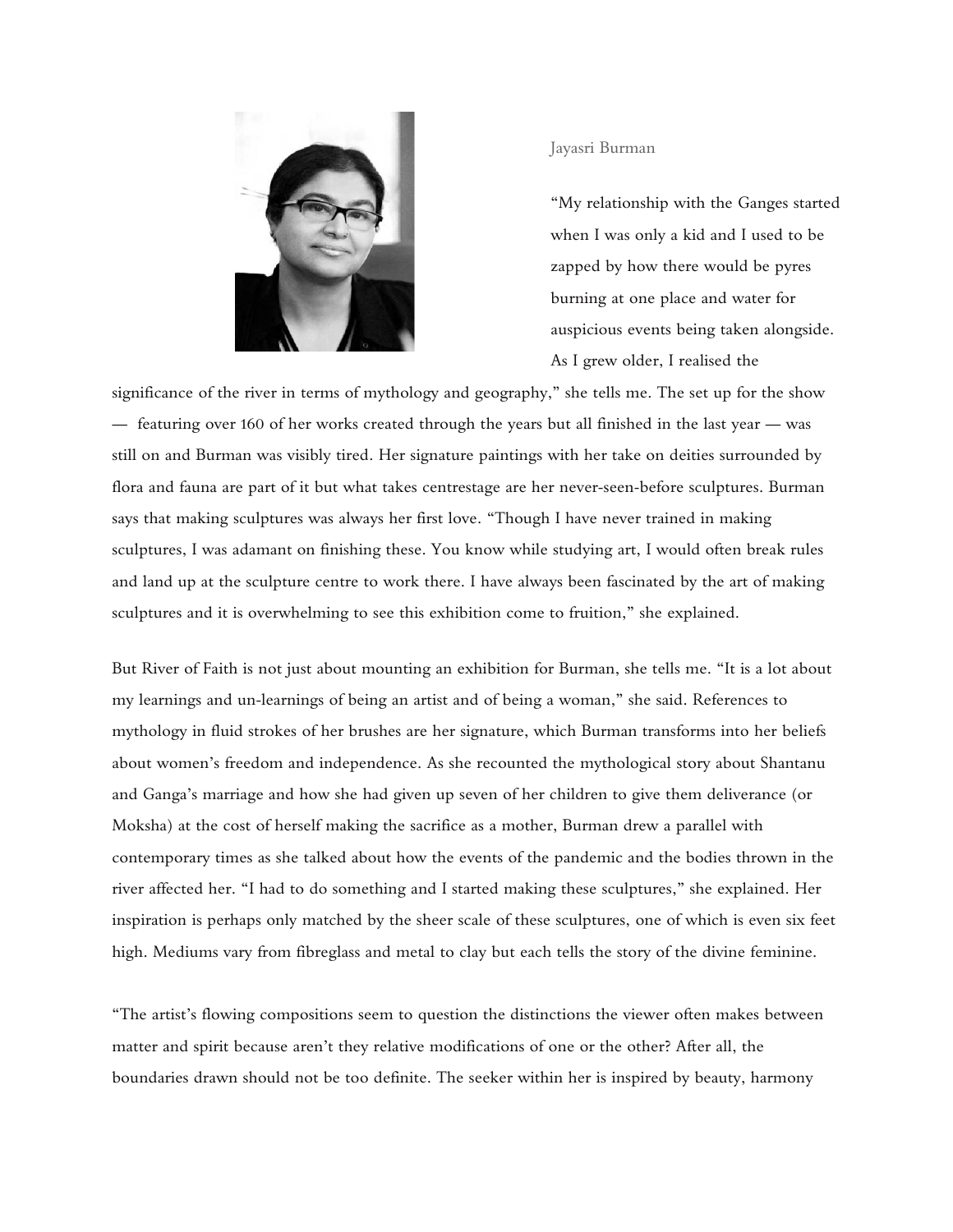

## Jayasri Burman

"My relationship with the Ganges started when I was only a kid and I used to be zapped by how there would be pyres burning at one place and water for auspicious events being taken alongside. As I grew older, I realised the

significance of the river in terms of mythology and geography," she tells me. The set up for the show — featuring over 160 of her works created through the years but all finished in the last year — was still on and Burman was visibly tired. Her signature paintings with her take on deities surrounded by flora and fauna are part of it but what takes centrestage are her never-seen-before sculptures. Burman says that making sculptures was always her first love. "Though I have never trained in making sculptures, I was adamant on finishing these. You know while studying art, I would often break rules and land up at the sculpture centre to work there. I have always been fascinated by the art of making sculptures and it is overwhelming to see this exhibition come to fruition," she explained.

But River of Faith is not just about mounting an exhibition for Burman, she tells me. "It is a lot about my learnings and un-learnings of being an artist and of being a woman," she said. References to mythology in fluid strokes of her brushes are her signature, which Burman transforms into her beliefs about women's freedom and independence. As she recounted the mythological story about Shantanu and Ganga's marriage and how she had given up seven of her children to give them deliverance (or Moksha) at the cost of herself making the sacrifice as a mother, Burman drew a parallel with contemporary times as she talked about how the events of the pandemic and the bodies thrown in the river affected her. "I had to do something and I started making these sculptures," she explained. Her inspiration is perhaps only matched by the sheer scale of these sculptures, one of which is even six feet high. Mediums vary from fibreglass and metal to clay but each tells the story of the divine feminine.

"The artist's flowing compositions seem to question the distinctions the viewer often makes between matter and spirit because aren't they relative modifications of one or the other? After all, the boundaries drawn should not be too definite. The seeker within her is inspired by beauty, harmony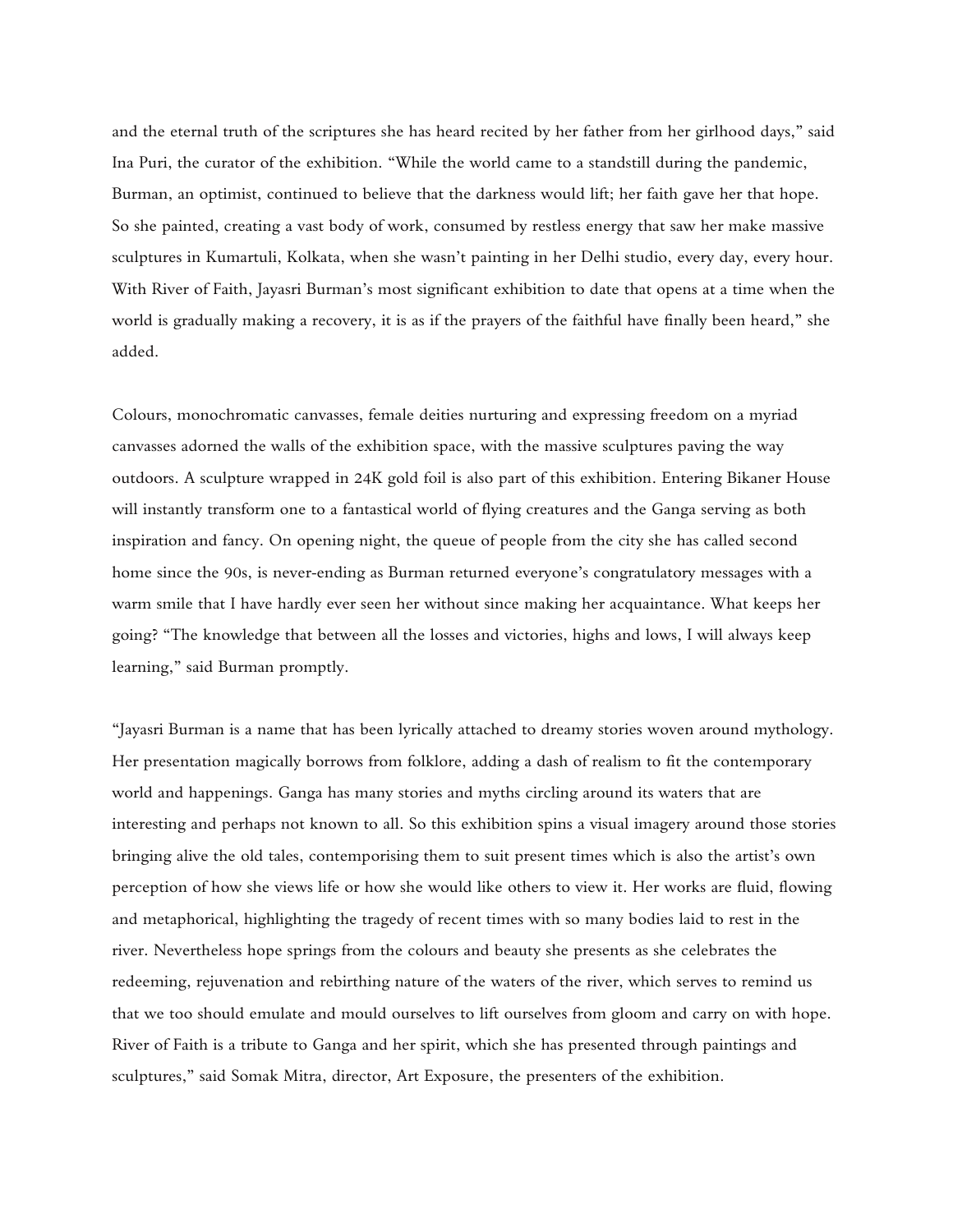and the eternal truth of the scriptures she has heard recited by her father from her girlhood days," said Ina Puri, the curator of the exhibition. "While the world came to a standstill during the pandemic, Burman, an optimist, continued to believe that the darkness would lift; her faith gave her that hope. So she painted, creating a vast body of work, consumed by restless energy that saw her make massive sculptures in Kumartuli, Kolkata, when she wasn't painting in her Delhi studio, every day, every hour. With River of Faith, Jayasri Burman's most significant exhibition to date that opens at a time when the world is gradually making a recovery, it is as if the prayers of the faithful have finally been heard," she added.

Colours, monochromatic canvasses, female deities nurturing and expressing freedom on a myriad canvasses adorned the walls of the exhibition space, with the massive sculptures paving the way outdoors. A sculpture wrapped in 24K gold foil is also part of this exhibition. Entering Bikaner House will instantly transform one to a fantastical world of flying creatures and the Ganga serving as both inspiration and fancy. On opening night, the queue of people from the city she has called second home since the 90s, is never-ending as Burman returned everyone's congratulatory messages with a warm smile that I have hardly ever seen her without since making her acquaintance. What keeps her going? "The knowledge that between all the losses and victories, highs and lows, I will always keep learning," said Burman promptly.

"Jayasri Burman is a name that has been lyrically attached to dreamy stories woven around mythology. Her presentation magically borrows from folklore, adding a dash of realism to fit the contemporary world and happenings. Ganga has many stories and myths circling around its waters that are interesting and perhaps not known to all. So this exhibition spins a visual imagery around those stories bringing alive the old tales, contemporising them to suit present times which is also the artist's own perception of how she views life or how she would like others to view it. Her works are fluid, flowing and metaphorical, highlighting the tragedy of recent times with so many bodies laid to rest in the river. Nevertheless hope springs from the colours and beauty she presents as she celebrates the redeeming, rejuvenation and rebirthing nature of the waters of the river, which serves to remind us that we too should emulate and mould ourselves to lift ourselves from gloom and carry on with hope. River of Faith is a tribute to Ganga and her spirit, which she has presented through paintings and sculptures," said Somak Mitra, director, Art Exposure, the presenters of the exhibition.